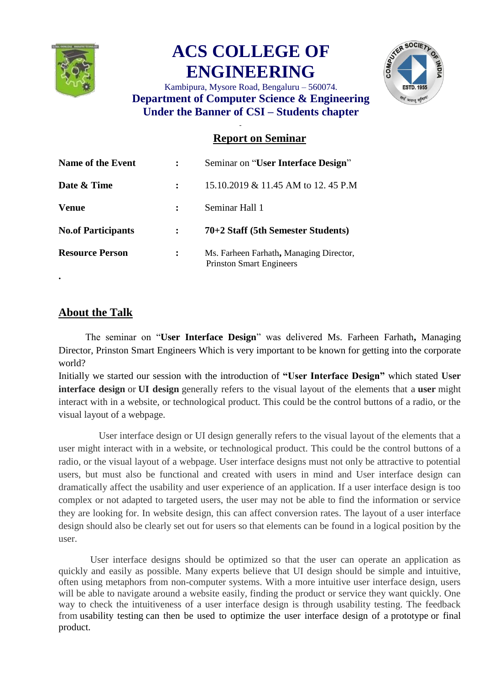

## **ACS COLLEGE OF ENGINEERING**



Kambipura, Mysore Road, Bengaluru – 560074. **Department of Computer Science & Engineering Under the Banner of CSI – Students chapter**

## **Report on Seminar**

| <b>Name of the Event</b>  |   | Seminar on "User Interface Design"                                         |
|---------------------------|---|----------------------------------------------------------------------------|
| Date & Time               |   | 15.10.2019 & 11.45 AM to 12.45 P.M                                         |
| <b>Venue</b>              |   | Seminar Hall 1                                                             |
| <b>No.of Participants</b> |   | 70+2 Staff (5th Semester Students)                                         |
| <b>Resource Person</b>    | ፡ | Ms. Farheen Farhath, Managing Director,<br><b>Prinston Smart Engineers</b> |

## **About the Talk**

**.**

 The seminar on "**User Interface Design**" was delivered Ms. Farheen Farhath**,** Managing Director, Prinston Smart Engineers Which is very important to be known for getting into the corporate world?

Initially we started our session with the introduction of **"User Interface Design"** which stated **User interface design** or **UI design** generally refers to the visual layout of the elements that a **user** might interact with in a website, or technological product. This could be the control buttons of a radio, or the visual layout of a webpage.

User interface design or UI design generally refers to the visual layout of the elements that a user might interact with in a website, or technological product. This could be the control buttons of a radio, or the visual layout of a webpage. User interface designs must not only be attractive to potential users, but must also be functional and created with users in mind and User interface design can dramatically affect the usability and user experience of an application. If a user interface design is too complex or not adapted to targeted users, the user may not be able to find the information or service they are looking for. In website design, this can affect conversion rates. The layout of a user interface design should also be clearly set out for users so that elements can be found in a logical position by the user.

User interface designs should be optimized so that the user can operate an application as quickly and easily as possible. Many experts believe that UI design should be simple and intuitive, often using metaphors from non-computer systems. With a more intuitive user interface design, users will be able to navigate around a website easily, finding the product or service they want quickly. One way to check the intuitiveness of a user interface design is through usability testing. The feedback from [usability testing](https://pidoco.com/en/help/ux/usability-testing) can then be used to optimize the user interface design of a [prototype](https://pidoco.com/en/help/ux/prototype) or final product.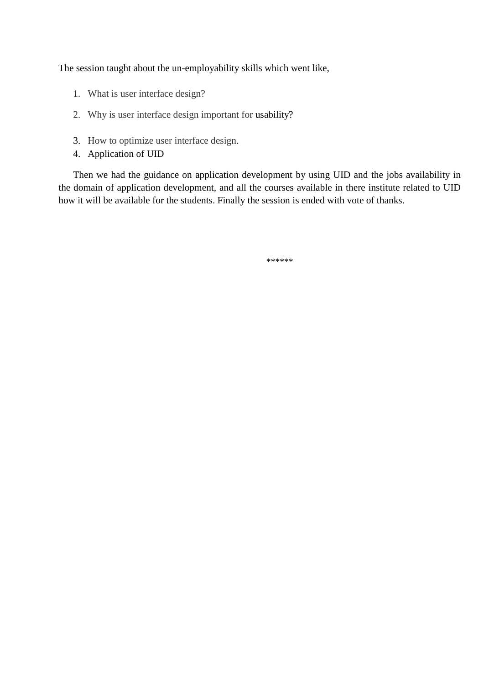The session taught about the un-employability skills which went like,

- 1. What is user interface design?
- 2. Why is user interface design important for [usability?](https://pidoco.com/en/help/ux/usability)
- 3. How to optimize user interface design.
- 4. Application of UID

Then we had the guidance on application development by using UID and the jobs availability in the domain of application development, and all the courses available in there institute related to UID how it will be available for the students. Finally the session is ended with vote of thanks.

\*\*\*\*\*\*